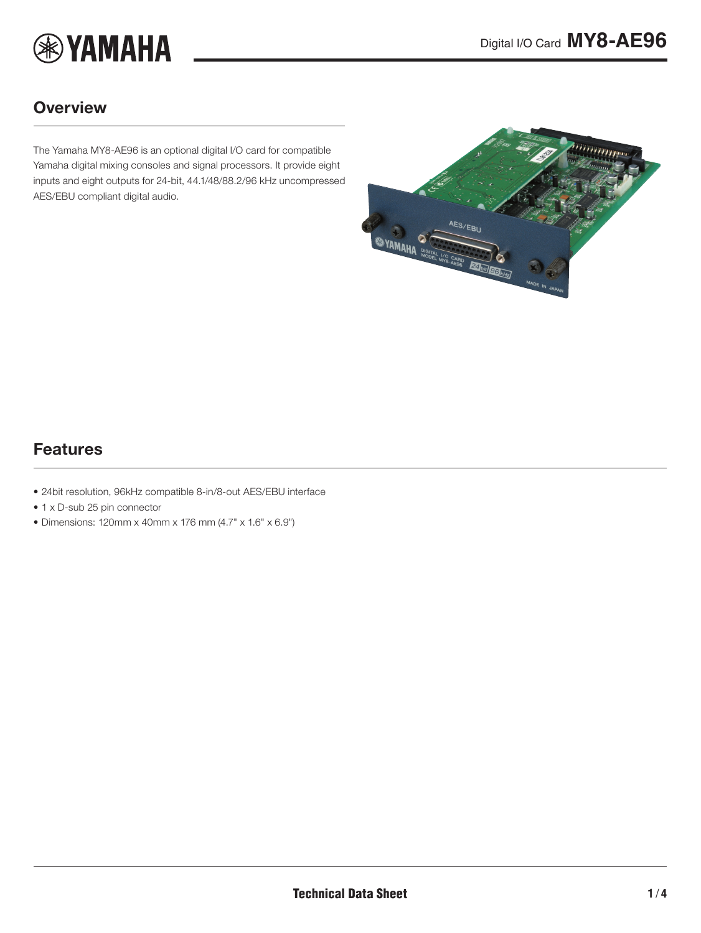

### **Overview**

The Yamaha MY8-AE96 is an optional digital I/O card for compatible Yamaha digital mixing consoles and signal processors. It provide eight inputs and eight outputs for 24-bit, 44.1/48/88.2/96 kHz uncompressed AES/EBU compliant digital audio.

<span id="page-0-0"></span>

### Features

- 24bit resolution, 96kHz compatible 8-in/8-out AES/EBU interface
- 1 x D-sub 25 pin connector
- Dimensions: 120mm x 40mm x 176 mm (4.7" x 1.6" x 6.9")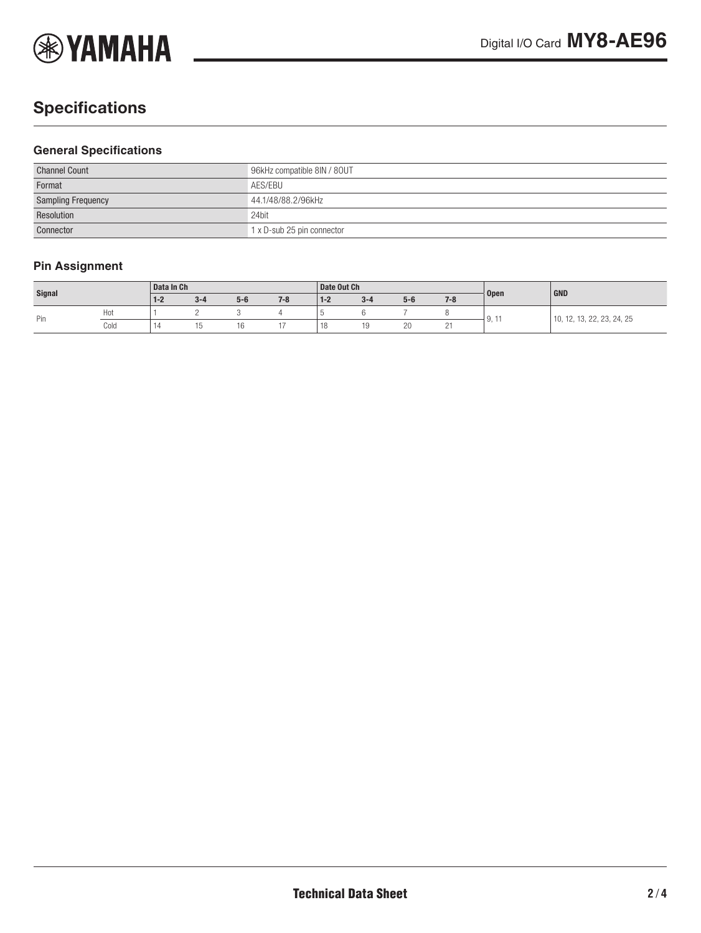

# **Specifications**

#### **General Specifications**

| <b>Channel Count</b>      | 96kHz compatible 8IN / 80UT |  |  |  |  |
|---------------------------|-----------------------------|--|--|--|--|
| Format                    | AES/EBU                     |  |  |  |  |
| <b>Sampling Frequency</b> | 44.1/48/88.2/96kHz          |  |  |  |  |
| Resolution                | 24bit                       |  |  |  |  |
| Connector                 | 1 x D-sub 25 pin connector  |  |  |  |  |

### **Pin Assignment**

| Signal |      | Data In Ch |         |       |         | Date Out Ch                                |         |       |         |                       | GND                               |
|--------|------|------------|---------|-------|---------|--------------------------------------------|---------|-------|---------|-----------------------|-----------------------------------|
|        |      | $1 - 2$    | $3 - 4$ | $5-6$ | $7 - 8$ | $1 - 2$                                    | $3 - 4$ | $5-6$ | $7 - 8$ | <b>Open</b>           |                                   |
| Pin    | Hot  |            |         |       |         |                                            |         |       |         | $\mathbf{u}$<br>J, II | 13, 22, 23, 24, 25<br>10.<br>$-1$ |
|        | Cold | 14         |         | ١b    |         | $\overline{1}$<br>$\overline{\phantom{a}}$ | ن ا     | 20    | -       |                       |                                   |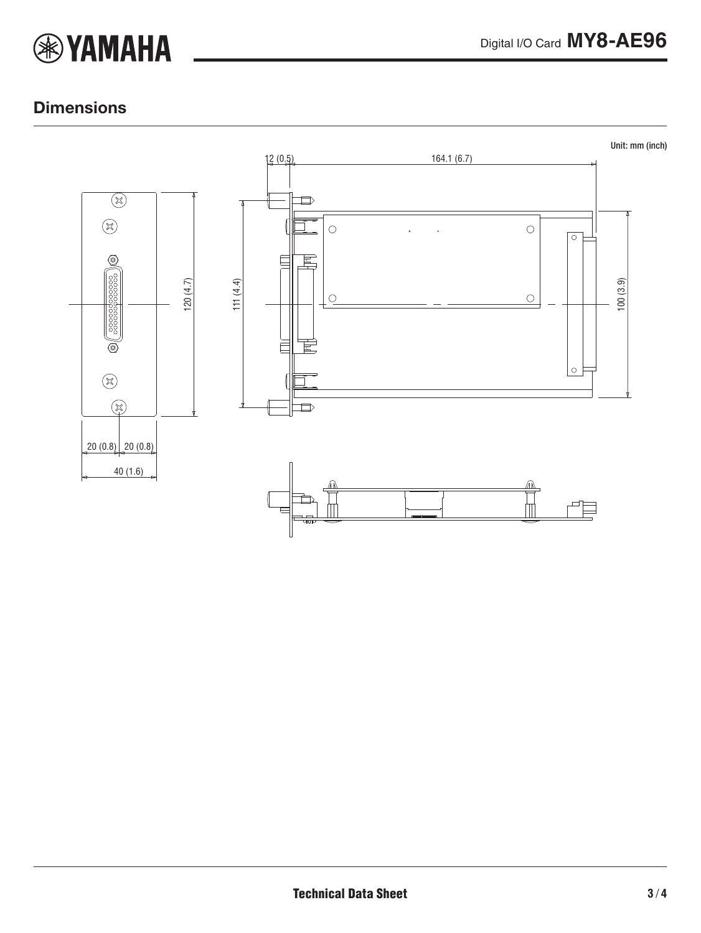

### **Dimensions**